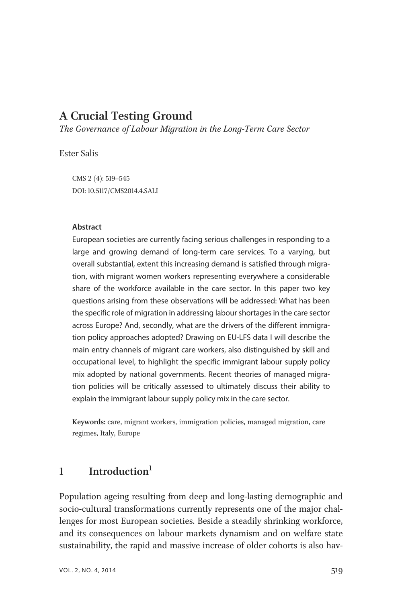# A Crucial Testing Ground

The Governance of Labour Migration in the Long-Term Care Sector

Ester Salis

CMS 2 (4): 519–545 DOI: 10.5117/CMS2014.4.SALI

#### Abstract

European societies are currently facing serious challenges in responding to a large and growing demand of long-term care services. To a varying, but overall substantial, extent this increasing demand is satisfied through migration, with migrant women workers representing everywhere a considerable share of the workforce available in the care sector. In this paper two key questions arising from these observations will be addressed: What has been the specific role of migration in addressing labour shortages in the care sector across Europe? And, secondly, what are the drivers of the different immigration policy approaches adopted? Drawing on EU-LFS data I will describe the main entry channels of migrant care workers, also distinguished by skill and occupational level, to highlight the specific immigrant labour supply policy mix adopted by national governments. Recent theories of managed migration policies will be critically assessed to ultimately discuss their ability to explain the immigrant labour supply policy mix in the care sector.

Keywords: care, migrant workers, immigration policies, managed migration, care regimes, Italy, Europe

## 1 Introduction $1$

Population ageing resulting from deep and long-lasting demographic and socio-cultural transformations currently represents one of the major challenges for most European societies. Beside a steadily shrinking workforce, and its consequences on labour markets dynamism and on welfare state sustainability, the rapid and massive increase of older cohorts is also hav-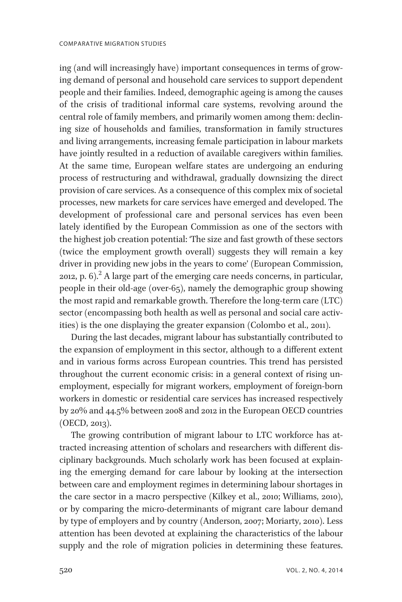ing (and will increasingly have) important consequences in terms of growing demand of personal and household care services to support dependent people and their families. Indeed, demographic ageing is among the causes of the crisis of traditional informal care systems, revolving around the central role of family members, and primarily women among them: declining size of households and families, transformation in family structures and living arrangements, increasing female participation in labour markets have jointly resulted in a reduction of available caregivers within families. At the same time, European welfare states are undergoing an enduring process of restructuring and withdrawal, gradually downsizing the direct provision of care services. As a consequence of this complex mix of societal processes, new markets for care services have emerged and developed. The development of professional care and personal services has even been lately identified by the European Commission as one of the sectors with the highest job creation potential: 'The size and fast growth of these sectors (twice the employment growth overall) suggests they will remain a key driver in providing new jobs in the years to come' (European Commission, 2012, p.  $6$ ).<sup>2</sup> A large part of the emerging care needs concerns, in particular, people in their old-age (over-65), namely the demographic group showing the most rapid and remarkable growth. Therefore the long-term care (LTC) sector (encompassing both health as well as personal and social care activities) is the one displaying the greater expansion (Colombo et al., 2011).

During the last decades, migrant labour has substantially contributed to the expansion of employment in this sector, although to a different extent and in various forms across European countries. This trend has persisted throughout the current economic crisis: in a general context of rising unemployment, especially for migrant workers, employment of foreign-born workers in domestic or residential care services has increased respectively by 20% and 44.5% between 2008 and 2012 in the European OECD countries (OECD, 2013).

The growing contribution of migrant labour to LTC workforce has attracted increasing attention of scholars and researchers with different disciplinary backgrounds. Much scholarly work has been focused at explaining the emerging demand for care labour by looking at the intersection between care and employment regimes in determining labour shortages in the care sector in a macro perspective (Kilkey et al., 2010; Williams, 2010), or by comparing the micro-determinants of migrant care labour demand by type of employers and by country (Anderson, 2007; Moriarty, 2010). Less attention has been devoted at explaining the characteristics of the labour supply and the role of migration policies in determining these features.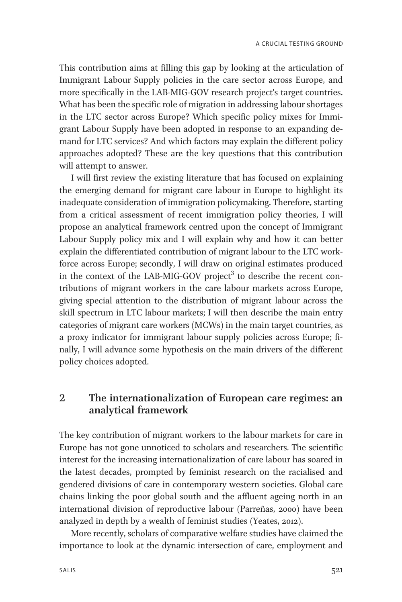This contribution aims at filling this gap by looking at the articulation of Immigrant Labour Supply policies in the care sector across Europe, and more specifically in the LAB-MIG-GOV research project's target countries. What has been the specific role of migration in addressing labour shortages in the LTC sector across Europe? Which specific policy mixes for Immigrant Labour Supply have been adopted in response to an expanding demand for LTC services? And which factors may explain the different policy approaches adopted? These are the key questions that this contribution will attempt to answer.

I will first review the existing literature that has focused on explaining the emerging demand for migrant care labour in Europe to highlight its inadequate consideration of immigration policymaking. Therefore, starting from a critical assessment of recent immigration policy theories, I will propose an analytical framework centred upon the concept of Immigrant Labour Supply policy mix and I will explain why and how it can better explain the differentiated contribution of migrant labour to the LTC workforce across Europe; secondly, I will draw on original estimates produced in the context of the LAB-MIG-GOV project<sup>3</sup> to describe the recent contributions of migrant workers in the care labour markets across Europe, giving special attention to the distribution of migrant labour across the skill spectrum in LTC labour markets; I will then describe the main entry categories of migrant care workers (MCWs) in the main target countries, as a proxy indicator for immigrant labour supply policies across Europe; finally, I will advance some hypothesis on the main drivers of the different policy choices adopted.

#### 2 The internationalization of European care regimes: an analytical framework

The key contribution of migrant workers to the labour markets for care in Europe has not gone unnoticed to scholars and researchers. The scientific interest for the increasing internationalization of care labour has soared in the latest decades, prompted by feminist research on the racialised and gendered divisions of care in contemporary western societies. Global care chains linking the poor global south and the affluent ageing north in an international division of reproductive labour (Parreñas, 2000) have been analyzed in depth by a wealth of feminist studies (Yeates, 2012).

More recently, scholars of comparative welfare studies have claimed the importance to look at the dynamic intersection of care, employment and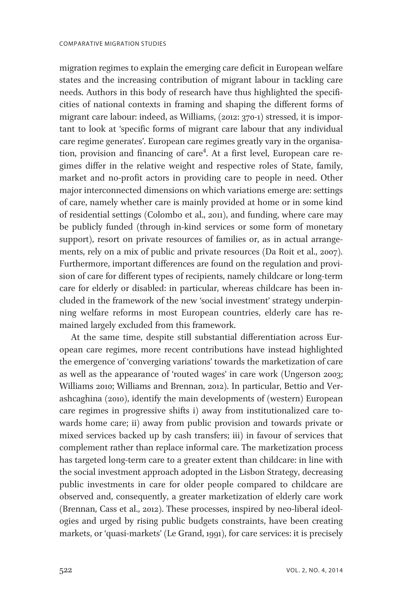migration regimes to explain the emerging care deficit in European welfare states and the increasing contribution of migrant labour in tackling care needs. Authors in this body of research have thus highlighted the specificities of national contexts in framing and shaping the different forms of migrant care labour: indeed, as Williams, (2012: 370-1) stressed, it is important to look at 'specific forms of migrant care labour that any individual care regime generates'. European care regimes greatly vary in the organisation, provision and financing of care<sup>4</sup>. At a first level, European care regimes differ in the relative weight and respective roles of State, family, market and no-profit actors in providing care to people in need. Other major interconnected dimensions on which variations emerge are: settings of care, namely whether care is mainly provided at home or in some kind of residential settings (Colombo et al., 2011), and funding, where care may be publicly funded (through in-kind services or some form of monetary support), resort on private resources of families or, as in actual arrangements, rely on a mix of public and private resources (Da Roit et al., 2007). Furthermore, important differences are found on the regulation and provision of care for different types of recipients, namely childcare or long-term care for elderly or disabled: in particular, whereas childcare has been included in the framework of the new 'social investment' strategy underpinning welfare reforms in most European countries, elderly care has remained largely excluded from this framework.

At the same time, despite still substantial differentiation across European care regimes, more recent contributions have instead highlighted the emergence of 'converging variations' towards the marketization of care as well as the appearance of 'routed wages' in care work (Ungerson 2003; Williams 2010; Williams and Brennan, 2012). In particular, Bettio and Verashcaghina (2010), identify the main developments of (western) European care regimes in progressive shifts i) away from institutionalized care towards home care; ii) away from public provision and towards private or mixed services backed up by cash transfers; iii) in favour of services that complement rather than replace informal care. The marketization process has targeted long-term care to a greater extent than childcare: in line with the social investment approach adopted in the Lisbon Strategy, decreasing public investments in care for older people compared to childcare are observed and, consequently, a greater marketization of elderly care work (Brennan, Cass et al., 2012). These processes, inspired by neo-liberal ideologies and urged by rising public budgets constraints, have been creating markets, or 'quasi-markets' (Le Grand, 1991), for care services: it is precisely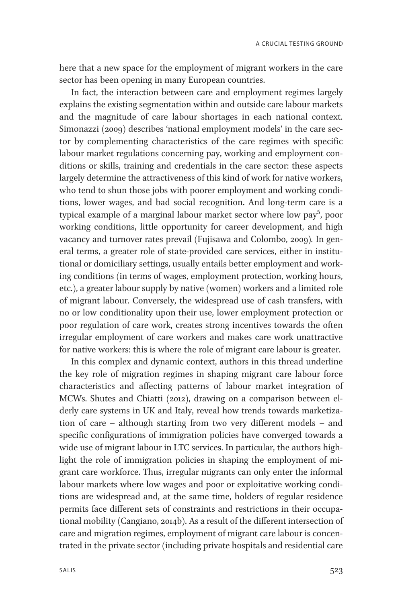here that a new space for the employment of migrant workers in the care sector has been opening in many European countries.

In fact, the interaction between care and employment regimes largely explains the existing segmentation within and outside care labour markets and the magnitude of care labour shortages in each national context. Simonazzi (2009) describes 'national employment models' in the care sector by complementing characteristics of the care regimes with specific labour market regulations concerning pay, working and employment conditions or skills, training and credentials in the care sector: these aspects largely determine the attractiveness of this kind of work for native workers, who tend to shun those jobs with poorer employment and working conditions, lower wages, and bad social recognition. And long-term care is a typical example of a marginal labour market sector where low pay<sup>5</sup>, poor working conditions, little opportunity for career development, and high vacancy and turnover rates prevail (Fujisawa and Colombo, 2009). In general terms, a greater role of state-provided care services, either in institutional or domiciliary settings, usually entails better employment and working conditions (in terms of wages, employment protection, working hours, etc.), a greater labour supply by native (women) workers and a limited role of migrant labour. Conversely, the widespread use of cash transfers, with no or low conditionality upon their use, lower employment protection or poor regulation of care work, creates strong incentives towards the often irregular employment of care workers and makes care work unattractive for native workers: this is where the role of migrant care labour is greater.

In this complex and dynamic context, authors in this thread underline the key role of migration regimes in shaping migrant care labour force characteristics and affecting patterns of labour market integration of MCWs. Shutes and Chiatti (2012), drawing on a comparison between elderly care systems in UK and Italy, reveal how trends towards marketization of care – although starting from two very different models – and specific configurations of immigration policies have converged towards a wide use of migrant labour in LTC services. In particular, the authors highlight the role of immigration policies in shaping the employment of migrant care workforce. Thus, irregular migrants can only enter the informal labour markets where low wages and poor or exploitative working conditions are widespread and, at the same time, holders of regular residence permits face different sets of constraints and restrictions in their occupational mobility (Cangiano, 2014b). As a result of the different intersection of care and migration regimes, employment of migrant care labour is concentrated in the private sector (including private hospitals and residential care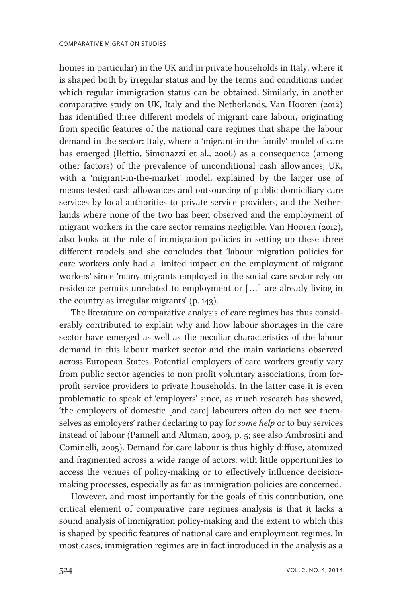homes in particular) in the UK and in private households in Italy, where it is shaped both by irregular status and by the terms and conditions under which regular immigration status can be obtained. Similarly, in another comparative study on UK, Italy and the Netherlands, Van Hooren (2012) has identified three different models of migrant care labour, originating from specific features of the national care regimes that shape the labour demand in the sector: Italy, where a 'migrant-in-the-family' model of care has emerged (Bettio, Simonazzi et al., 2006) as a consequence (among other factors) of the prevalence of unconditional cash allowances; UK, with a 'migrant-in-the-market' model, explained by the larger use of means-tested cash allowances and outsourcing of public domiciliary care services by local authorities to private service providers, and the Netherlands where none of the two has been observed and the employment of migrant workers in the care sector remains negligible. Van Hooren (2012), also looks at the role of immigration policies in setting up these three different models and she concludes that 'labour migration policies for care workers only had a limited impact on the employment of migrant workers' since 'many migrants employed in the social care sector rely on residence permits unrelated to employment or [... ] are already living in the country as irregular migrants' (p. 143).

The literature on comparative analysis of care regimes has thus considerably contributed to explain why and how labour shortages in the care sector have emerged as well as the peculiar characteristics of the labour demand in this labour market sector and the main variations observed across European States. Potential employers of care workers greatly vary from public sector agencies to non profit voluntary associations, from forprofit service providers to private households. In the latter case it is even problematic to speak of 'employers' since, as much research has showed, 'the employers of domestic [and care] labourers often do not see themselves as employers' rather declaring to pay for some help or to buy services instead of labour (Pannell and Altman, 2009, p. 5; see also Ambrosini and Cominelli, 2005). Demand for care labour is thus highly diffuse, atomized and fragmented across a wide range of actors, with little opportunities to access the venues of policy-making or to effectively influence decisionmaking processes, especially as far as immigration policies are concerned.

However, and most importantly for the goals of this contribution, one critical element of comparative care regimes analysis is that it lacks a sound analysis of immigration policy-making and the extent to which this is shaped by specific features of national care and employment regimes. In most cases, immigration regimes are in fact introduced in the analysis as a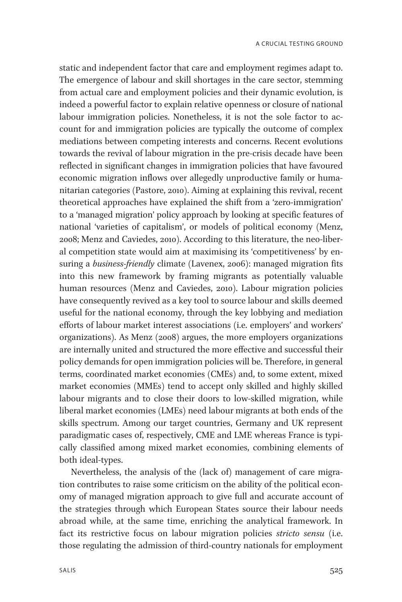static and independent factor that care and employment regimes adapt to. The emergence of labour and skill shortages in the care sector, stemming from actual care and employment policies and their dynamic evolution, is indeed a powerful factor to explain relative openness or closure of national labour immigration policies. Nonetheless, it is not the sole factor to account for and immigration policies are typically the outcome of complex mediations between competing interests and concerns. Recent evolutions towards the revival of labour migration in the pre-crisis decade have been reflected in significant changes in immigration policies that have favoured economic migration inflows over allegedly unproductive family or humanitarian categories (Pastore, 2010). Aiming at explaining this revival, recent theoretical approaches have explained the shift from a 'zero-immigration' to a 'managed migration' policy approach by looking at specific features of national 'varieties of capitalism', or models of political economy (Menz, 2008; Menz and Caviedes, 2010). According to this literature, the neo-liberal competition state would aim at maximising its 'competitiveness' by ensuring a business-friendly climate (Lavenex, 2006): managed migration fits into this new framework by framing migrants as potentially valuable human resources (Menz and Caviedes, 2010). Labour migration policies have consequently revived as a key tool to source labour and skills deemed useful for the national economy, through the key lobbying and mediation efforts of labour market interest associations (i.e. employers' and workers' organizations). As Menz (2008) argues, the more employers organizations are internally united and structured the more effective and successful their policy demands for open immigration policies will be. Therefore, in general terms, coordinated market economies (CMEs) and, to some extent, mixed market economies (MMEs) tend to accept only skilled and highly skilled labour migrants and to close their doors to low-skilled migration, while liberal market economies (LMEs) need labour migrants at both ends of the skills spectrum. Among our target countries, Germany and UK represent paradigmatic cases of, respectively, CME and LME whereas France is typically classified among mixed market economies, combining elements of both ideal-types.

Nevertheless, the analysis of the (lack of) management of care migration contributes to raise some criticism on the ability of the political economy of managed migration approach to give full and accurate account of the strategies through which European States source their labour needs abroad while, at the same time, enriching the analytical framework. In fact its restrictive focus on labour migration policies stricto sensu (i.e. those regulating the admission of third-country nationals for employment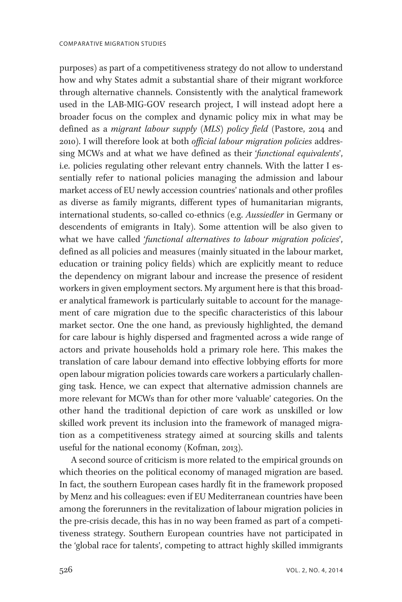purposes) as part of a competitiveness strategy do not allow to understand how and why States admit a substantial share of their migrant workforce through alternative channels. Consistently with the analytical framework used in the LAB-MIG-GOV research project, I will instead adopt here a broader focus on the complex and dynamic policy mix in what may be defined as a migrant labour supply (MLS) policy field (Pastore, 2014 and 2010). I will therefore look at both official labour migration policies addressing MCWs and at what we have defined as their 'functional equivalents', i.e. policies regulating other relevant entry channels. With the latter I essentially refer to national policies managing the admission and labour market access of EU newly accession countries' nationals and other profiles as diverse as family migrants, different types of humanitarian migrants, international students, so-called co-ethnics (e.g. Aussiedler in Germany or descendents of emigrants in Italy). Some attention will be also given to what we have called 'functional alternatives to labour migration policies', defined as all policies and measures (mainly situated in the labour market, education or training policy fields) which are explicitly meant to reduce the dependency on migrant labour and increase the presence of resident workers in given employment sectors. My argument here is that this broader analytical framework is particularly suitable to account for the management of care migration due to the specific characteristics of this labour market sector. One the one hand, as previously highlighted, the demand for care labour is highly dispersed and fragmented across a wide range of actors and private households hold a primary role here. This makes the translation of care labour demand into effective lobbying efforts for more open labour migration policies towards care workers a particularly challenging task. Hence, we can expect that alternative admission channels are more relevant for MCWs than for other more 'valuable' categories. On the other hand the traditional depiction of care work as unskilled or low skilled work prevent its inclusion into the framework of managed migration as a competitiveness strategy aimed at sourcing skills and talents useful for the national economy (Kofman, 2013).

A second source of criticism is more related to the empirical grounds on which theories on the political economy of managed migration are based. In fact, the southern European cases hardly fit in the framework proposed by Menz and his colleagues: even if EU Mediterranean countries have been among the forerunners in the revitalization of labour migration policies in the pre-crisis decade, this has in no way been framed as part of a competitiveness strategy. Southern European countries have not participated in the 'global race for talents', competing to attract highly skilled immigrants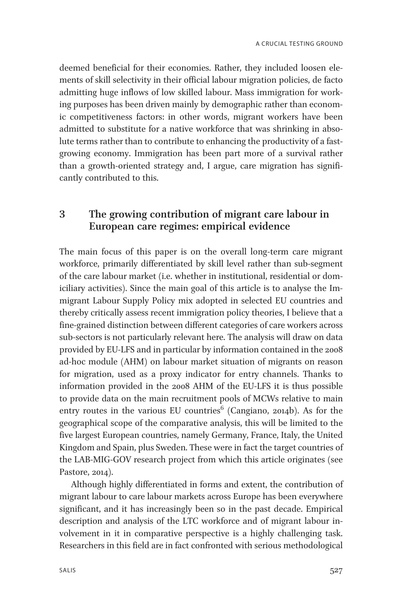deemed beneficial for their economies. Rather, they included loosen elements of skill selectivity in their official labour migration policies, de facto admitting huge inflows of low skilled labour. Mass immigration for working purposes has been driven mainly by demographic rather than economic competitiveness factors: in other words, migrant workers have been admitted to substitute for a native workforce that was shrinking in absolute terms rather than to contribute to enhancing the productivity of a fastgrowing economy. Immigration has been part more of a survival rather than a growth-oriented strategy and, I argue, care migration has significantly contributed to this.

## 3 The growing contribution of migrant care labour in European care regimes: empirical evidence

The main focus of this paper is on the overall long-term care migrant workforce, primarily differentiated by skill level rather than sub-segment of the care labour market (i.e. whether in institutional, residential or domiciliary activities). Since the main goal of this article is to analyse the Immigrant Labour Supply Policy mix adopted in selected EU countries and thereby critically assess recent immigration policy theories, I believe that a fine-grained distinction between different categories of care workers across sub-sectors is not particularly relevant here. The analysis will draw on data provided by EU-LFS and in particular by information contained in the 2008 ad-hoc module (AHM) on labour market situation of migrants on reason for migration, used as a proxy indicator for entry channels. Thanks to information provided in the 2008 AHM of the EU-LFS it is thus possible to provide data on the main recruitment pools of MCWs relative to main entry routes in the various EU countries<sup>6</sup> (Cangiano, 2014b). As for the geographical scope of the comparative analysis, this will be limited to the five largest European countries, namely Germany, France, Italy, the United Kingdom and Spain, plus Sweden. These were in fact the target countries of the LAB-MIG-GOV research project from which this article originates (see Pastore, 2014).

Although highly differentiated in forms and extent, the contribution of migrant labour to care labour markets across Europe has been everywhere significant, and it has increasingly been so in the past decade. Empirical description and analysis of the LTC workforce and of migrant labour involvement in it in comparative perspective is a highly challenging task. Researchers in this field are in fact confronted with serious methodological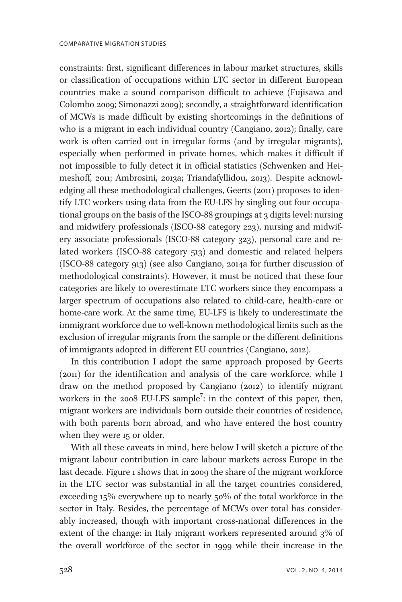constraints: first, significant differences in labour market structures, skills or classification of occupations within LTC sector in different European countries make a sound comparison difficult to achieve (Fujisawa and Colombo 2009; Simonazzi 2009); secondly, a straightforward identification of MCWs is made difficult by existing shortcomings in the definitions of who is a migrant in each individual country (Cangiano, 2012); finally, care work is often carried out in irregular forms (and by irregular migrants), especially when performed in private homes, which makes it difficult if not impossible to fully detect it in official statistics (Schwenken and Heimeshoff, 2011; Ambrosini, 2013a; Triandafyllidou, 2013). Despite acknowledging all these methodological challenges, Geerts (2011) proposes to identify LTC workers using data from the EU-LFS by singling out four occupational groups on the basis of the ISCO-88 groupings at 3 digits level: nursing and midwifery professionals (ISCO-88 category 223), nursing and midwifery associate professionals (ISCO-88 category 323), personal care and related workers (ISCO-88 category 513) and domestic and related helpers (ISCO-88 category 913) (see also Cangiano, 2014a for further discussion of methodological constraints). However, it must be noticed that these four categories are likely to overestimate LTC workers since they encompass a larger spectrum of occupations also related to child-care, health-care or home-care work. At the same time, EU-LFS is likely to underestimate the immigrant workforce due to well-known methodological limits such as the exclusion of irregular migrants from the sample or the different definitions of immigrants adopted in different EU countries (Cangiano, 2012).

In this contribution I adopt the same approach proposed by Geerts (2011) for the identification and analysis of the care workforce, while I draw on the method proposed by Cangiano (2012) to identify migrant workers in the 2008 EU-LFS sample<sup>7</sup>: in the context of this paper, then, migrant workers are individuals born outside their countries of residence, with both parents born abroad, and who have entered the host country when they were 15 or older.

With all these caveats in mind, here below I will sketch a picture of the migrant labour contribution in care labour markets across Europe in the last decade. Figure 1 shows that in 2009 the share of the migrant workforce in the LTC sector was substantial in all the target countries considered, exceeding 15% everywhere up to nearly 50% of the total workforce in the sector in Italy. Besides, the percentage of MCWs over total has considerably increased, though with important cross-national differences in the extent of the change: in Italy migrant workers represented around 3% of the overall workforce of the sector in 1999 while their increase in the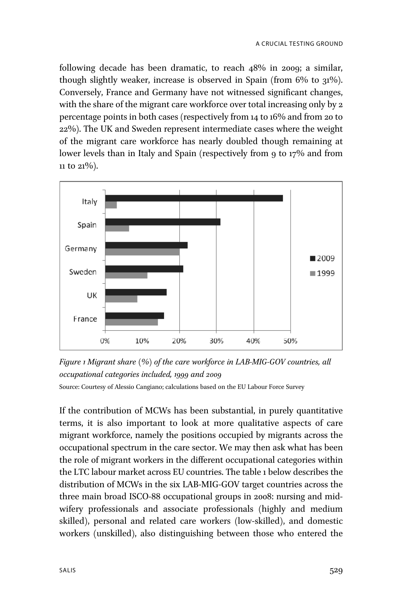following decade has been dramatic, to reach 48% in 2009; a similar, though slightly weaker, increase is observed in Spain (from  $6\%$  to  $31\%$ ). Conversely, France and Germany have not witnessed significant changes, with the share of the migrant care workforce over total increasing only by 2 percentage points in both cases (respectively from 14 to 16% and from 20 to 22%). The UK and Sweden represent intermediate cases where the weight of the migrant care workforce has nearly doubled though remaining at lower levels than in Italy and Spain (respectively from 9 to 17% and from 11 to 21%).



Figure 1 Migrant share (%) of the care workforce in LAB-MIG-GOV countries, all occupational categories included, 1999 and 2009 Source: Courtesy of Alessio Cangiano; calculations based on the EU Labour Force Survey

If the contribution of MCWs has been substantial, in purely quantitative terms, it is also important to look at more qualitative aspects of care migrant workforce, namely the positions occupied by migrants across the occupational spectrum in the care sector. We may then ask what has been the role of migrant workers in the different occupational categories within the LTC labour market across EU countries. The table 1 below describes the distribution of MCWs in the six LAB-MIG-GOV target countries across the three main broad ISCO-88 occupational groups in 2008: nursing and midwifery professionals and associate professionals (highly and medium skilled), personal and related care workers (low-skilled), and domestic workers (unskilled), also distinguishing between those who entered the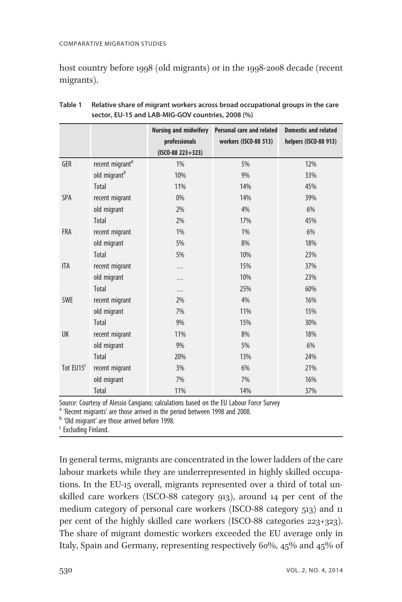#### COMPARATIVE MIGRATION STUDIES

host country before 1998 (old migrants) or in the 1998-2008 decade (recent migrants).

|             |                             | <b>Nursing and midwifery</b> | <b>Personal care and related</b> | <b>Domestic and related</b> |
|-------------|-----------------------------|------------------------------|----------------------------------|-----------------------------|
|             |                             | professionals                | workers (ISCO-88 513)            | helpers (ISCO-88 913)       |
|             |                             | $($ ISCO-88 223+323)         |                                  |                             |
| GER         | recent migrant <sup>a</sup> | 1%                           | 5%                               | 12%                         |
|             | old migrant <sup>b</sup>    | 10%                          | 9%                               | 33%                         |
|             | <b>Total</b>                | 11%                          | 14%                              | 45%                         |
| <b>SPA</b>  | recent migrant              | 0%                           | 14%                              | 39%                         |
|             | old migrant                 | 2%                           | 4%                               | 6%                          |
|             | Total                       | 2%                           | 17%                              | 45%                         |
| <b>FRA</b>  | recent migrant              | 1%                           | 1%                               | 6%                          |
|             | old migrant                 | 5%                           | 8%                               | 18%                         |
|             | <b>Total</b>                | 5%                           | 10%                              | 23%                         |
| <b>ITA</b>  | recent migrant              | .                            | 15%                              | 37%                         |
|             | old migrant                 | .                            | 10%                              | 23%                         |
|             | Total                       | .                            | 25%                              | 60%                         |
| <b>SWE</b>  | recent migrant              | 2%                           | 4%                               | 16%                         |
|             | old migrant                 | 7%                           | 11%                              | 15%                         |
|             | Total                       | 9%                           | 15%                              | 30%                         |
| UK          | recent migrant              | 11%                          | 8%                               | 18%                         |
|             | old migrant                 | 9%                           | 5%                               | 6%                          |
|             | <b>Total</b>                | 20%                          | 13%                              | 24%                         |
| Tot $EUI5c$ | recent migrant              | 3%                           | 6%                               | 21%                         |
|             | old migrant                 | 7%                           | 7%                               | 16%                         |
|             | <b>Total</b>                | 11%                          | 14%                              | 37%                         |

| Table 1 | Relative share of migrant workers across broad occupational groups in the care |
|---------|--------------------------------------------------------------------------------|
|         | sector, EU-15 and LAB-MIG-GOV countries, 2008 (%)                              |

Source: Courtesy of Alessio Cangiano; calculations based on the EU Labour Force Survey

 $^{\text{a}}$  'Recent migrants' are those arrived in the period between 1998 and 2008.  $^{\text{b}}$  'Old migrant' are those arrived before 1998.

Excluding Finland.

In general terms, migrants are concentrated in the lower ladders of the care labour markets while they are underrepresented in highly skilled occupations. In the EU-15 overall, migrants represented over a third of total unskilled care workers (ISCO-88 category 913), around 14 per cent of the medium category of personal care workers (ISCO-88 category 513) and 11 per cent of the highly skilled care workers (ISCO-88 categories 223+323). The share of migrant domestic workers exceeded the EU average only in Italy, Spain and Germany, representing respectively 60%, 45% and 45% of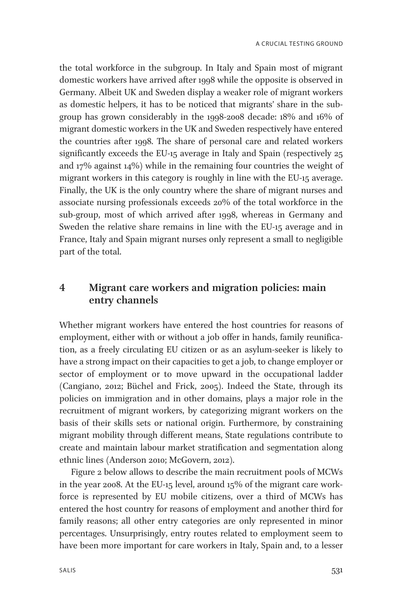the total workforce in the subgroup. In Italy and Spain most of migrant domestic workers have arrived after 1998 while the opposite is observed in Germany. Albeit UK and Sweden display a weaker role of migrant workers as domestic helpers, it has to be noticed that migrants' share in the subgroup has grown considerably in the 1998-2008 decade: 18% and 16% of migrant domestic workers in the UK and Sweden respectively have entered the countries after 1998. The share of personal care and related workers significantly exceeds the EU-15 average in Italy and Spain (respectively 25 and 17% against 14%) while in the remaining four countries the weight of migrant workers in this category is roughly in line with the EU-15 average. Finally, the UK is the only country where the share of migrant nurses and associate nursing professionals exceeds 20% of the total workforce in the sub-group, most of which arrived after 1998, whereas in Germany and Sweden the relative share remains in line with the EU-15 average and in France, Italy and Spain migrant nurses only represent a small to negligible part of the total.

## 4 Migrant care workers and migration policies: main entry channels

Whether migrant workers have entered the host countries for reasons of employment, either with or without a job offer in hands, family reunification, as a freely circulating EU citizen or as an asylum-seeker is likely to have a strong impact on their capacities to get a job, to change employer or sector of employment or to move upward in the occupational ladder (Cangiano, 2012; Büchel and Frick, 2005). Indeed the State, through its policies on immigration and in other domains, plays a major role in the recruitment of migrant workers, by categorizing migrant workers on the basis of their skills sets or national origin. Furthermore, by constraining migrant mobility through different means, State regulations contribute to create and maintain labour market stratification and segmentation along ethnic lines (Anderson 2010; McGovern, 2012).

Figure 2 below allows to describe the main recruitment pools of MCWs in the year 2008. At the EU-15 level, around 15% of the migrant care workforce is represented by EU mobile citizens, over a third of MCWs has entered the host country for reasons of employment and another third for family reasons; all other entry categories are only represented in minor percentages. Unsurprisingly, entry routes related to employment seem to have been more important for care workers in Italy, Spain and, to a lesser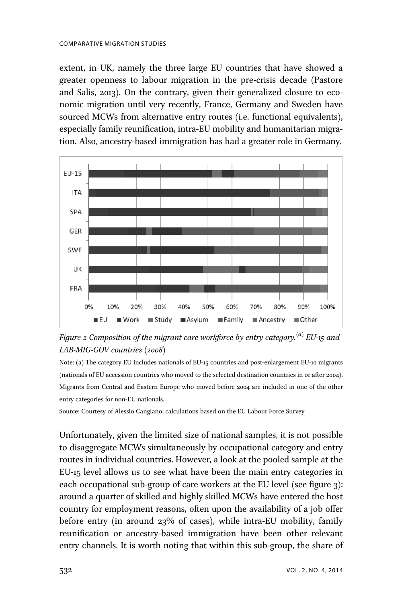extent, in UK, namely the three large EU countries that have showed a greater openness to labour migration in the pre-crisis decade (Pastore and Salis, 2013). On the contrary, given their generalized closure to economic migration until very recently, France, Germany and Sweden have sourced MCWs from alternative entry routes (i.e. functional equivalents), especially family reunification, intra-EU mobility and humanitarian migration. Also, ancestry-based immigration has had a greater role in Germany.



Figure 2 Composition of the migrant care workforce by entry category.<sup>(a)</sup> EU-15 and LAB-MIG-GOV countries (2008)

Note: (a) The category EU includes nationals of EU-15 countries and post-enlargement EU-10 migrants (nationals of EU accession countries who moved to the selected destination countries in or after 2004). Migrants from Central and Eastern Europe who moved before 2004 are included in one of the other entry categories for non-EU nationals.

Source: Courtesy of Alessio Cangiano; calculations based on the EU Labour Force Survey

Unfortunately, given the limited size of national samples, it is not possible to disaggregate MCWs simultaneously by occupational category and entry routes in individual countries. However, a look at the pooled sample at the EU-15 level allows us to see what have been the main entry categories in each occupational sub-group of care workers at the EU level (see figure 3): around a quarter of skilled and highly skilled MCWs have entered the host country for employment reasons, often upon the availability of a job offer before entry (in around 23% of cases), while intra-EU mobility, family reunification or ancestry-based immigration have been other relevant entry channels. It is worth noting that within this sub-group, the share of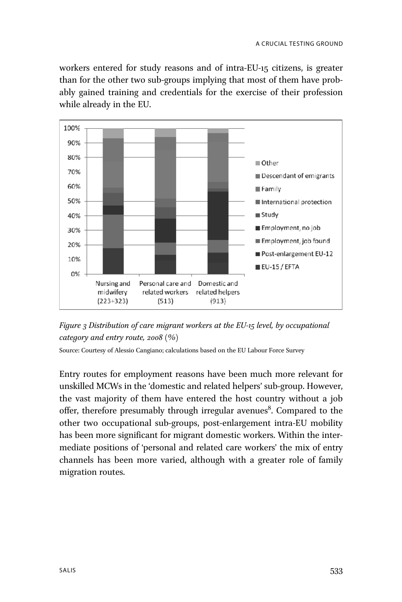workers entered for study reasons and of intra-EU-15 citizens, is greater than for the other two sub-groups implying that most of them have probably gained training and credentials for the exercise of their profession while already in the EU.



Figure 3 Distribution of care migrant workers at the EU-15 level, by occupational category and entry route,  $2008$  (%)

Source: Courtesy of Alessio Cangiano; calculations based on the EU Labour Force Survey

Entry routes for employment reasons have been much more relevant for unskilled MCWs in the 'domestic and related helpers' sub-group. However, the vast majority of them have entered the host country without a job offer, therefore presumably through irregular avenues<sup>8</sup>. Compared to the other two occupational sub-groups, post-enlargement intra-EU mobility has been more significant for migrant domestic workers. Within the intermediate positions of 'personal and related care workers' the mix of entry channels has been more varied, although with a greater role of family migration routes.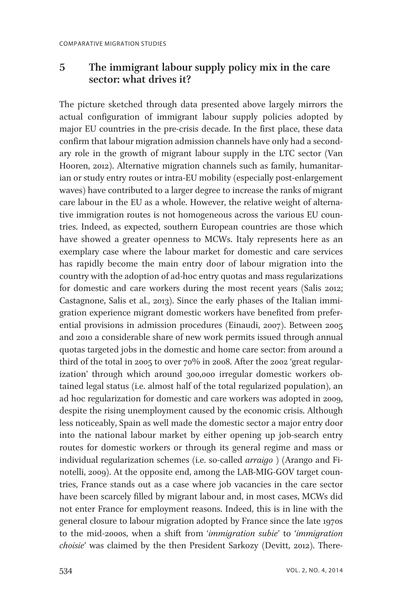## 5 The immigrant labour supply policy mix in the care sector: what drives it?

The picture sketched through data presented above largely mirrors the actual configuration of immigrant labour supply policies adopted by major EU countries in the pre-crisis decade. In the first place, these data confirm that labour migration admission channels have only had a secondary role in the growth of migrant labour supply in the LTC sector (Van Hooren, 2012). Alternative migration channels such as family, humanitarian or study entry routes or intra-EU mobility (especially post-enlargement waves) have contributed to a larger degree to increase the ranks of migrant care labour in the EU as a whole. However, the relative weight of alternative immigration routes is not homogeneous across the various EU countries. Indeed, as expected, southern European countries are those which have showed a greater openness to MCWs. Italy represents here as an exemplary case where the labour market for domestic and care services has rapidly become the main entry door of labour migration into the country with the adoption of ad-hoc entry quotas and mass regularizations for domestic and care workers during the most recent years (Salis 2012; Castagnone, Salis et al., 2013). Since the early phases of the Italian immigration experience migrant domestic workers have benefited from preferential provisions in admission procedures (Einaudi, 2007). Between 2005 and 2010 a considerable share of new work permits issued through annual quotas targeted jobs in the domestic and home care sector: from around a third of the total in 2005 to over 70% in 2008. After the 2002 'great regularization' through which around 300,000 irregular domestic workers obtained legal status (i.e. almost half of the total regularized population), an ad hoc regularization for domestic and care workers was adopted in 2009, despite the rising unemployment caused by the economic crisis. Although less noticeably, Spain as well made the domestic sector a major entry door into the national labour market by either opening up job-search entry routes for domestic workers or through its general regime and mass or individual regularization schemes (i.e. so-called arraigo ) (Arango and Finotelli, 2009). At the opposite end, among the LAB-MIG-GOV target countries, France stands out as a case where job vacancies in the care sector have been scarcely filled by migrant labour and, in most cases, MCWs did not enter France for employment reasons. Indeed, this is in line with the general closure to labour migration adopted by France since the late 1970s to the mid-2000s, when a shift from 'immigration subie' to 'immigration choisie' was claimed by the then President Sarkozy (Devitt, 2012). There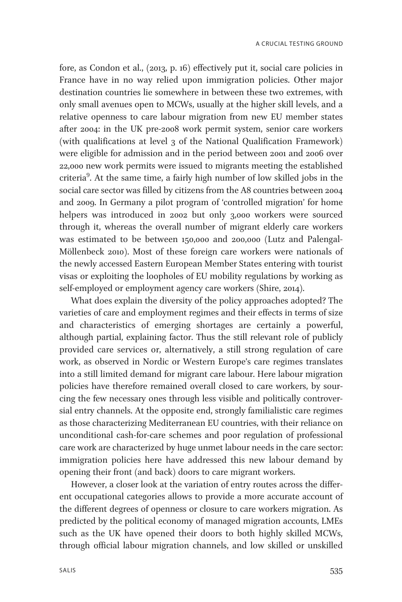fore, as Condon et al., (2013, p. 16) effectively put it, social care policies in France have in no way relied upon immigration policies. Other major destination countries lie somewhere in between these two extremes, with only small avenues open to MCWs, usually at the higher skill levels, and a relative openness to care labour migration from new EU member states after 2004: in the UK pre-2008 work permit system, senior care workers (with qualifications at level 3 of the National Qualification Framework) were eligible for admission and in the period between 2001 and 2006 over 22,000 new work permits were issued to migrants meeting the established criteria<sup>9</sup>. At the same time, a fairly high number of low skilled jobs in the social care sector was filled by citizens from the A8 countries between 2004 and 2009. In Germany a pilot program of 'controlled migration' for home helpers was introduced in 2002 but only 3,000 workers were sourced through it, whereas the overall number of migrant elderly care workers was estimated to be between 150,000 and 200,000 (Lutz and Palengal-Möllenbeck 2010). Most of these foreign care workers were nationals of the newly accessed Eastern European Member States entering with tourist visas or exploiting the loopholes of EU mobility regulations by working as self-employed or employment agency care workers (Shire, 2014).

What does explain the diversity of the policy approaches adopted? The varieties of care and employment regimes and their effects in terms of size and characteristics of emerging shortages are certainly a powerful, although partial, explaining factor. Thus the still relevant role of publicly provided care services or, alternatively, a still strong regulation of care work, as observed in Nordic or Western Europe's care regimes translates into a still limited demand for migrant care labour. Here labour migration policies have therefore remained overall closed to care workers, by sourcing the few necessary ones through less visible and politically controversial entry channels. At the opposite end, strongly familialistic care regimes as those characterizing Mediterranean EU countries, with their reliance on unconditional cash-for-care schemes and poor regulation of professional care work are characterized by huge unmet labour needs in the care sector: immigration policies here have addressed this new labour demand by opening their front (and back) doors to care migrant workers.

However, a closer look at the variation of entry routes across the different occupational categories allows to provide a more accurate account of the different degrees of openness or closure to care workers migration. As predicted by the political economy of managed migration accounts, LMEs such as the UK have opened their doors to both highly skilled MCWs, through official labour migration channels, and low skilled or unskilled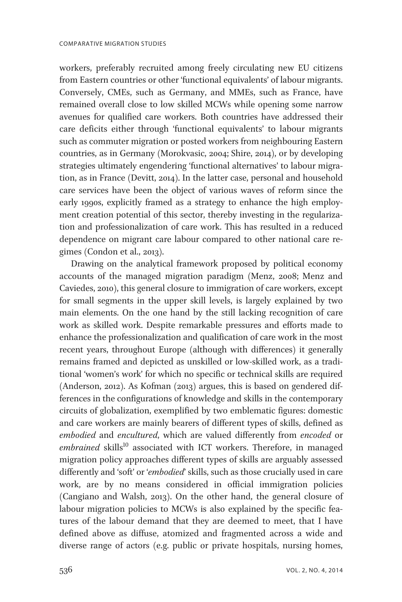workers, preferably recruited among freely circulating new EU citizens from Eastern countries or other 'functional equivalents' of labour migrants. Conversely, CMEs, such as Germany, and MMEs, such as France, have remained overall close to low skilled MCWs while opening some narrow avenues for qualified care workers. Both countries have addressed their care deficits either through 'functional equivalents' to labour migrants such as commuter migration or posted workers from neighbouring Eastern countries, as in Germany (Morokvasic, 2004; Shire, 2014), or by developing strategies ultimately engendering 'functional alternatives' to labour migration, as in France (Devitt, 2014). In the latter case, personal and household care services have been the object of various waves of reform since the early 1990s, explicitly framed as a strategy to enhance the high employment creation potential of this sector, thereby investing in the regularization and professionalization of care work. This has resulted in a reduced dependence on migrant care labour compared to other national care regimes (Condon et al., 2013).

Drawing on the analytical framework proposed by political economy accounts of the managed migration paradigm (Menz, 2008; Menz and Caviedes, 2010), this general closure to immigration of care workers, except for small segments in the upper skill levels, is largely explained by two main elements. On the one hand by the still lacking recognition of care work as skilled work. Despite remarkable pressures and efforts made to enhance the professionalization and qualification of care work in the most recent years, throughout Europe (although with differences) it generally remains framed and depicted as unskilled or low-skilled work, as a traditional 'women's work' for which no specific or technical skills are required (Anderson, 2012). As Kofman (2013) argues, this is based on gendered differences in the configurations of knowledge and skills in the contemporary circuits of globalization, exemplified by two emblematic figures: domestic and care workers are mainly bearers of different types of skills, defined as embodied and encultured, which are valued differently from encoded or  $embrained$  skills<sup>10</sup> associated with ICT workers. Therefore, in managed migration policy approaches different types of skills are arguably assessed differently and 'soft' or 'embodied' skills, such as those crucially used in care work, are by no means considered in official immigration policies (Cangiano and Walsh, 2013). On the other hand, the general closure of labour migration policies to MCWs is also explained by the specific features of the labour demand that they are deemed to meet, that I have defined above as diffuse, atomized and fragmented across a wide and diverse range of actors (e.g. public or private hospitals, nursing homes,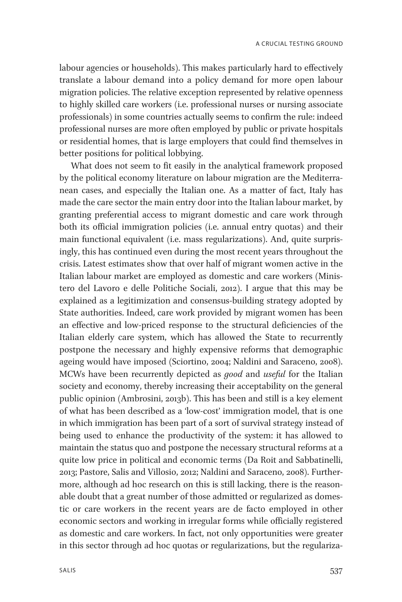labour agencies or households). This makes particularly hard to effectively translate a labour demand into a policy demand for more open labour migration policies. The relative exception represented by relative openness to highly skilled care workers (i.e. professional nurses or nursing associate professionals) in some countries actually seems to confirm the rule: indeed professional nurses are more often employed by public or private hospitals or residential homes, that is large employers that could find themselves in better positions for political lobbying.

What does not seem to fit easily in the analytical framework proposed by the political economy literature on labour migration are the Mediterranean cases, and especially the Italian one. As a matter of fact, Italy has made the care sector the main entry door into the Italian labour market, by granting preferential access to migrant domestic and care work through both its official immigration policies (i.e. annual entry quotas) and their main functional equivalent (i.e. mass regularizations). And, quite surprisingly, this has continued even during the most recent years throughout the crisis. Latest estimates show that over half of migrant women active in the Italian labour market are employed as domestic and care workers (Ministero del Lavoro e delle Politiche Sociali, 2012). I argue that this may be explained as a legitimization and consensus-building strategy adopted by State authorities. Indeed, care work provided by migrant women has been an effective and low-priced response to the structural deficiencies of the Italian elderly care system, which has allowed the State to recurrently postpone the necessary and highly expensive reforms that demographic ageing would have imposed (Sciortino, 2004; Naldini and Saraceno, 2008). MCWs have been recurrently depicted as good and useful for the Italian society and economy, thereby increasing their acceptability on the general public opinion (Ambrosini, 2013b). This has been and still is a key element of what has been described as a 'low-cost' immigration model, that is one in which immigration has been part of a sort of survival strategy instead of being used to enhance the productivity of the system: it has allowed to maintain the status quo and postpone the necessary structural reforms at a quite low price in political and economic terms (Da Roit and Sabbatinelli, 2013; Pastore, Salis and Villosio, 2012; Naldini and Saraceno, 2008). Furthermore, although ad hoc research on this is still lacking, there is the reasonable doubt that a great number of those admitted or regularized as domestic or care workers in the recent years are de facto employed in other economic sectors and working in irregular forms while officially registered as domestic and care workers. In fact, not only opportunities were greater in this sector through ad hoc quotas or regularizations, but the regulariza-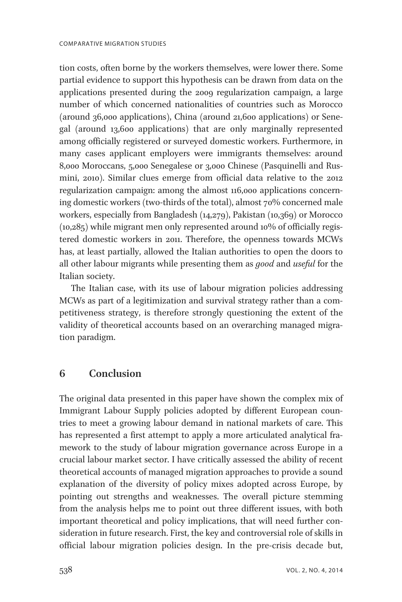tion costs, often borne by the workers themselves, were lower there. Some partial evidence to support this hypothesis can be drawn from data on the applications presented during the 2009 regularization campaign, a large number of which concerned nationalities of countries such as Morocco (around 36,000 applications), China (around 21,600 applications) or Senegal (around 13,600 applications) that are only marginally represented among officially registered or surveyed domestic workers. Furthermore, in many cases applicant employers were immigrants themselves: around 8,000 Moroccans, 5,000 Senegalese or 3,000 Chinese (Pasquinelli and Rusmini, 2010). Similar clues emerge from official data relative to the 2012 regularization campaign: among the almost 116,000 applications concerning domestic workers (two-thirds of the total), almost 70% concerned male workers, especially from Bangladesh (14,279), Pakistan (10,369) or Morocco (10,285) while migrant men only represented around 10% of officially registered domestic workers in 2011. Therefore, the openness towards MCWs has, at least partially, allowed the Italian authorities to open the doors to all other labour migrants while presenting them as good and useful for the Italian society.

The Italian case, with its use of labour migration policies addressing MCWs as part of a legitimization and survival strategy rather than a competitiveness strategy, is therefore strongly questioning the extent of the validity of theoretical accounts based on an overarching managed migration paradigm.

## 6 Conclusion

The original data presented in this paper have shown the complex mix of Immigrant Labour Supply policies adopted by different European countries to meet a growing labour demand in national markets of care. This has represented a first attempt to apply a more articulated analytical framework to the study of labour migration governance across Europe in a crucial labour market sector. I have critically assessed the ability of recent theoretical accounts of managed migration approaches to provide a sound explanation of the diversity of policy mixes adopted across Europe, by pointing out strengths and weaknesses. The overall picture stemming from the analysis helps me to point out three different issues, with both important theoretical and policy implications, that will need further consideration in future research. First, the key and controversial role of skills in official labour migration policies design. In the pre-crisis decade but,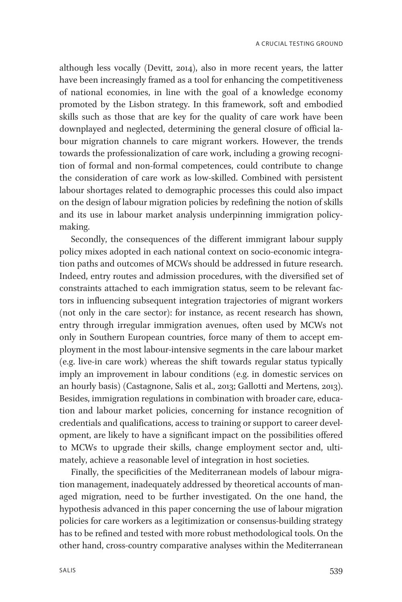although less vocally (Devitt, 2014), also in more recent years, the latter have been increasingly framed as a tool for enhancing the competitiveness of national economies, in line with the goal of a knowledge economy promoted by the Lisbon strategy. In this framework, soft and embodied skills such as those that are key for the quality of care work have been downplayed and neglected, determining the general closure of official labour migration channels to care migrant workers. However, the trends towards the professionalization of care work, including a growing recognition of formal and non-formal competences, could contribute to change the consideration of care work as low-skilled. Combined with persistent labour shortages related to demographic processes this could also impact on the design of labour migration policies by redefining the notion of skills and its use in labour market analysis underpinning immigration policymaking.

Secondly, the consequences of the different immigrant labour supply policy mixes adopted in each national context on socio-economic integration paths and outcomes of MCWs should be addressed in future research. Indeed, entry routes and admission procedures, with the diversified set of constraints attached to each immigration status, seem to be relevant factors in influencing subsequent integration trajectories of migrant workers (not only in the care sector): for instance, as recent research has shown, entry through irregular immigration avenues, often used by MCWs not only in Southern European countries, force many of them to accept employment in the most labour-intensive segments in the care labour market (e.g. live-in care work) whereas the shift towards regular status typically imply an improvement in labour conditions (e.g. in domestic services on an hourly basis) (Castagnone, Salis et al., 2013; Gallotti and Mertens, 2013). Besides, immigration regulations in combination with broader care, education and labour market policies, concerning for instance recognition of credentials and qualifications, access to training or support to career development, are likely to have a significant impact on the possibilities offered to MCWs to upgrade their skills, change employment sector and, ultimately, achieve a reasonable level of integration in host societies.

Finally, the specificities of the Mediterranean models of labour migration management, inadequately addressed by theoretical accounts of managed migration, need to be further investigated. On the one hand, the hypothesis advanced in this paper concerning the use of labour migration policies for care workers as a legitimization or consensus-building strategy has to be refined and tested with more robust methodological tools. On the other hand, cross-country comparative analyses within the Mediterranean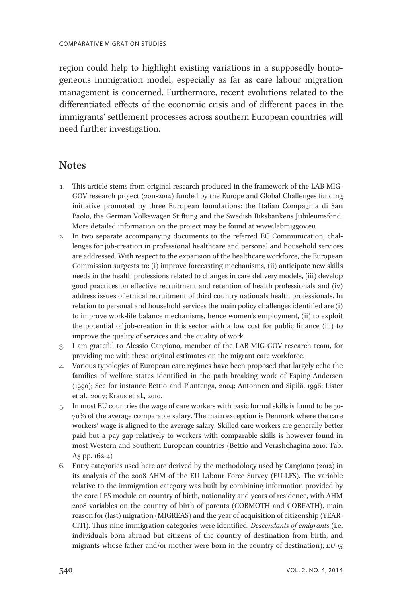region could help to highlight existing variations in a supposedly homogeneous immigration model, especially as far as care labour migration management is concerned. Furthermore, recent evolutions related to the differentiated effects of the economic crisis and of different paces in the immigrants' settlement processes across southern European countries will need further investigation.

#### **Notes**

- 1. This article stems from original research produced in the framework of the LAB-MIG-GOV research project (2011-2014) funded by the Europe and Global Challenges funding initiative promoted by three European foundations: the Italian Compagnia di San Paolo, the German Volkswagen Stiftung and the Swedish Riksbankens Jubileumsfond. More detailed information on the project may be found at www.labmiggov.eu
- 2. In two separate accompanying documents to the referred EC Communication, challenges for job-creation in professional healthcare and personal and household services are addressed. With respect to the expansion of the healthcare workforce, the European Commission suggests to: (i) improve forecasting mechanisms, (ii) anticipate new skills needs in the health professions related to changes in care delivery models, (iii) develop good practices on effective recruitment and retention of health professionals and (iv) address issues of ethical recruitment of third country nationals health professionals. In relation to personal and household services the main policy challenges identified are (i) to improve work-life balance mechanisms, hence women's employment, (ii) to exploit the potential of job-creation in this sector with a low cost for public finance (iii) to improve the quality of services and the quality of work.
- 3. I am grateful to Alessio Cangiano, member of the LAB-MIG-GOV research team, for providing me with these original estimates on the migrant care workforce.
- 4. Various typologies of European care regimes have been proposed that largely echo the families of welfare states identified in the path-breaking work of Esping-Andersen (1990); See for instance Bettio and Plantenga, 2004; Antonnen and Sipilä, 1996; Lister et al., 2007; Kraus et al., 2010.
- 5. In most EU countries the wage of care workers with basic formal skills is found to be 50- 70% of the average comparable salary. The main exception is Denmark where the care workers' wage is aligned to the average salary. Skilled care workers are generally better paid but a pay gap relatively to workers with comparable skills is however found in most Western and Southern European countries (Bettio and Verashchagina 2010: Tab. A5 pp. 162-4)
- 6. Entry categories used here are derived by the methodology used by Cangiano (2012) in its analysis of the 2008 AHM of the EU Labour Force Survey (EU-LFS). The variable relative to the immigration category was built by combining information provided by the core LFS module on country of birth, nationality and years of residence, with AHM 2008 variables on the country of birth of parents (COBMOTH and COBFATH), main reason for (last) migration (MIGREAS) and the year of acquisition of citizenship (YEAR-CITI). Thus nine immigration categories were identified: Descendants of emigrants (i.e. individuals born abroad but citizens of the country of destination from birth; and migrants whose father and/or mother were born in the country of destination);  $EU$ -15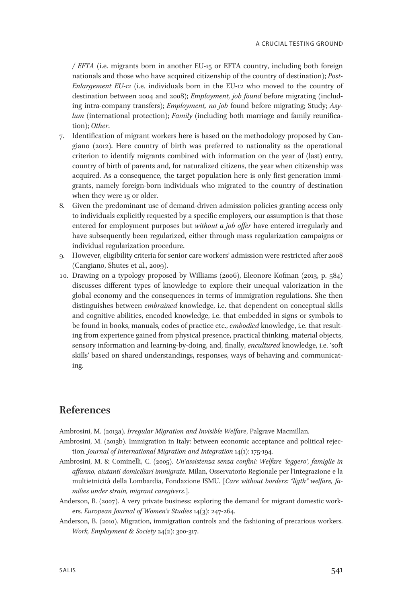/ EFTA (i.e. migrants born in another EU-15 or EFTA country, including both foreign nationals and those who have acquired citizenship of the country of destination); Post-Enlargement EU-12 (i.e. individuals born in the EU-12 who moved to the country of destination between 2004 and 2008); Employment, job found before migrating (including intra-company transfers); Employment, no job found before migrating; Study; Asy $lum$  (international protection);  $Family$  (including both marriage and family reunification); Other.

- 7. Identification of migrant workers here is based on the methodology proposed by Cangiano (2012). Here country of birth was preferred to nationality as the operational criterion to identify migrants combined with information on the year of (last) entry, country of birth of parents and, for naturalized citizens, the year when citizenship was acquired. As a consequence, the target population here is only first-generation immigrants, namely foreign-born individuals who migrated to the country of destination when they were 15 or older.
- 8. Given the predominant use of demand-driven admission policies granting access only to individuals explicitly requested by a specific employers, our assumption is that those entered for employment purposes but without a job offer have entered irregularly and have subsequently been regularized, either through mass regularization campaigns or individual regularization procedure.
- 9. However, eligibility criteria for senior care workers' admission were restricted after 2008 (Cangiano, Shutes et al., 2009).
- 10. Drawing on a typology proposed by Williams (2006), Eleonore Kofman (2013, p. 584) discusses different types of knowledge to explore their unequal valorization in the global economy and the consequences in terms of immigration regulations. She then distinguishes between embrained knowledge, i.e. that dependent on conceptual skills and cognitive abilities, encoded knowledge, i.e. that embedded in signs or symbols to be found in books, manuals, codes of practice etc., *embodied* knowledge, i.e. that resulting from experience gained from physical presence, practical thinking, material objects, sensory information and learning-by-doing, and, finally, encultured knowledge, i.e. 'soft skills' based on shared understandings, responses, ways of behaving and communicating.

#### References

Ambrosini, M. (2013a). Irregular Migration and Invisible Welfare, Palgrave Macmillan.

- Ambrosini, M. (2013b). Immigration in Italy: between economic acceptance and political rejection. Journal of International Migration and Integration 14(1): 175-194.
- Ambrosini, M. & Cominelli, C. (2005). Un'assistenza senza confini: Welfare 'leggero', famiglie in affanno, aiutanti domiciliari immigrate. Milan, Osservatorio Regionale per l'integrazione e la multietnicità della Lombardia, Fondazione ISMU. [Care without borders: "ligth" welfare, families under strain, migrant caregivers.].
- Anderson, B. (2007). A very private business: exploring the demand for migrant domestic workers. European Journal of Women's Studies 14(3): 247-264.
- Anderson, B. (2010). Migration, immigration controls and the fashioning of precarious workers. Work, Employment & Society 24(2): 300-317.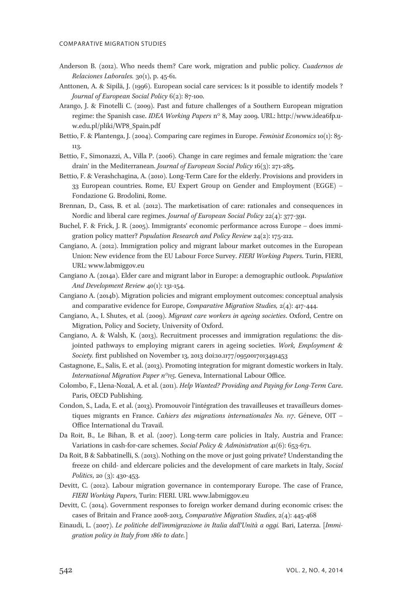- Anderson B. (2012). Who needs them? Care work, migration and public policy. Cuadernos de Relaciones Laborales. 30(1), p. 45-61.
- Anttonen, A. & Sipilä, J. (1996). European social care services: Is it possible to identify models ? Journal of European Social Policy 6(2): 87-100.
- Arango, J. & Finotelli C. (2009). Past and future challenges of a Southern European migration regime: the Spanish case. IDEA Working Papers n° 8, May 2009. URL: http://www.idea6fp.uw.edu.pl/pliki/WP8\_Spain.pdf
- Bettio, F. & Plantenga, J. (2004). Comparing care regimes in Europe. Feminist Economics 10(1): 85- 113.
- Bettio, F., Simonazzi, A., Villa P. (2006). Change in care regimes and female migration: the 'care drain' in the Mediterranean. Journal of European Social Policy 16(3): 271-285.
- Bettio, F. & Verashchagina, A. (2010). Long-Term Care for the elderly. Provisions and providers in 33 European countries. Rome, EU Expert Group on Gender and Employment (EGGE) – Fondazione G. Brodolini, Rome.
- Brennan, D., Cass, B. et al. (2012). The marketisation of care: rationales and consequences in Nordic and liberal care regimes. Journal of European Social Policy 22(4): 377-391.
- Buchel, F. & Frick, J. R. (2005). Immigrants' economic performance across Europe does immigration policy matter? Population Research and Policy Review 24(2): 175-212.
- Cangiano, A. (2012). Immigration policy and migrant labour market outcomes in the European Union: New evidence from the EU Labour Force Survey. FIERI Working Papers. Turin, FIERI, URL: www.labmiggov.eu
- Cangiano A. (2014a). Elder care and migrant labor in Europe: a demographic outlook. Population And Development Review 40(1): 131-154.
- Cangiano A. (2014b). Migration policies and migrant employment outcomes: conceptual analysis and comparative evidence for Europe, Comparative Migration Studies, 2(4): 417-444.
- Cangiano, A., I. Shutes, et al. (2009). Migrant care workers in ageing societies. Oxford, Centre on Migration, Policy and Society, University of Oxford.
- Cangiano, A. & Walsh, K. (2013). Recruitment processes and immigration regulations: the disjointed pathways to employing migrant carers in ageing societies. Work, Employment & Society. first published on November 13, 2013 doi:10.1177/0950017013491453
- Castagnone, E., Salis, E. et al. (2013). Promoting integration for migrant domestic workers in Italy. International Migration Paper  $n^{\circ}$ 115. Geneva, International Labour Office.
- Colombo, F., Llena-Nozal, A. et al. (2011). Help Wanted? Providing and Paying for Long-Term Care. Paris, OECD Publishing.
- Condon, S., Lada, E. et al. (2013). Promouvoir l'intégration des travailleuses et travailleurs domestiques migrants en France. Cahiers des migrations internationales No. 117. Géneve, OIT – Office International du Travail.
- Da Roit, B., Le Bihan, B. et al. (2007). Long-term care policies in Italy, Austria and France: Variations in cash-for-care schemes. Social Policy & Administration 41(6): 653-671.
- Da Roit, B & Sabbatinelli, S. (2013). Nothing on the move or just going private? Understanding the freeze on child- and eldercare policies and the development of care markets in Italy, Social Politics, 20 (3): 430-453.
- Devitt, C. (2012). Labour migration governance in contemporary Europe. The case of France, FIERI Working Papers, Turin: FIERI. URL www.labmiggov.eu
- Devitt, C. (2014). Government responses to foreign worker demand during economic crises: the cases of Britain and France 2008-2013, Comparative Migration Studies, 2(4): 445-468
- Einaudi, L. (2007). Le politiche dell'immigrazione in Italia dall'Unità a oggi. Bari, Laterza. [Immigration policy in Italy from 1861 to date.]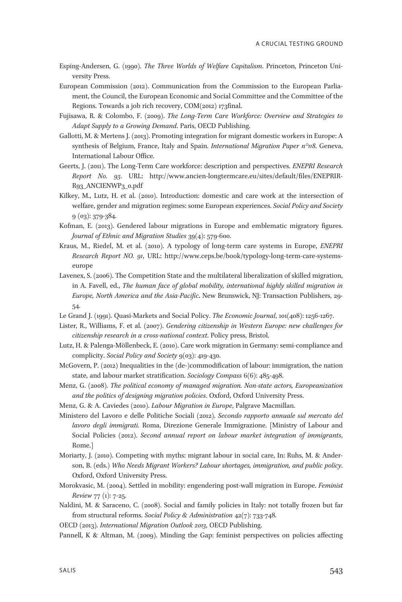- Esping-Andersen, G. (1990). The Three Worlds of Welfare Capitalism. Princeton, Princeton University Press.
- European Commission (2012). Communication from the Commission to the European Parliament, the Council, the European Economic and Social Committee and the Committee of the Regions. Towards a job rich recovery, COM(2012) 173final.
- Fujisawa, R. & Colombo, F. (2009). The Long-Term Care Workforce: Overview and Strategies to Adapt Supply to a Growing Demand. Paris, OECD Publishing.
- Gallotti, M. & Mertens J. (2013). Promoting integration for migrant domestic workers in Europe: A synthesis of Belgium, France, Italy and Spain. *International Migration Paper n°n8*. Geneva, International Labour Office.
- Geerts, J. (2011). The Long-Term Care workforce: description and perspectives. ENEPRI Research Report No. 93. URL: http://www.ancien-longtermcare.eu/sites/default/files/ENEPRIR-R93\_ANCIENWP3\_0.pdf
- Kilkey, M., Lutz, H. et al. (2010). Introduction: domestic and care work at the intersection of welfare, gender and migration regimes: some European experiences. Social Policy and Society 9 (03): 379-384.
- Kofman, E. (2013). Gendered labour migrations in Europe and emblematic migratory figures. Journal of Ethnic and Migration Studies 39(4): 579-600.
- Kraus, M., Riedel, M. et al. (2010). A typology of long-term care systems in Europe, ENEPRI Research Report NO. 91, URL: http://www.ceps.be/book/typology-long-term-care-systemseurope
- Lavenex, S. (2006). The Competition State and the multilateral liberalization of skilled migration, in A. Favell, ed., The human face of global mobility, international highly skilled migration in Europe, North America and the Asia-Pacific. New Brunswick, NJ: Transaction Publishers, 29- 54.
- Le Grand J. (1991). Quasi-Markets and Social Policy. The Economic Journal, 101(408): 1256-1267.
- Lister, R., Williams, F. et al. (2007). Gendering citizenship in Western Europe: new challenges for citizenship research in a cross-national context. Policy press, Bristol.
- Lutz, H. & Palenga-Möllenbeck, E. (2010). Care work migration in Germany: semi-compliance and complicity. Social Policy and Society 9(03): 419-430.
- McGovern, P. (2012) Inequalities in the (de-)commodification of labour: immigration, the nation state, and labour market stratification. Sociology Compass 6(6): 485-498.
- Menz, G. (2008). The political economy of managed migration. Non-state actors, Europeanization and the politics of designing migration policies. Oxford, Oxford University Press.
- Menz, G. & A. Caviedes (2010). Labour Migration in Europe, Palgrave Macmillan.
- Ministero del Lavoro e delle Politiche Sociali (2012). Secondo rapporto annuale sul mercato del lavoro degli immigrati. Roma, Direzione Generale Immigrazione. [Ministry of Labour and Social Policies (2012). Second annual report on labour market integration of immigrants, Rome.]
- Moriarty, J. (2010). Competing with myths: migrant labour in social care, In: Ruhs, M. & Anderson, B. (eds.) Who Needs Migrant Workers? Labour shortages, immigration, and public policy. Oxford, Oxford University Press.
- Morokvasic, M. (2004). Settled in mobility: engendering post-wall migration in Europe. Feminist Review 77 (1): 7-25.
- Naldini, M. & Saraceno, C. (2008). Social and family policies in Italy: not totally frozen but far from structural reforms. Social Policy & Administration 42(7): 733-748.
- OECD (2013). International Migration Outlook 2013, OECD Publishing.
- Pannell, K & Altman, M. (2009). Minding the Gap: feminist perspectives on policies affecting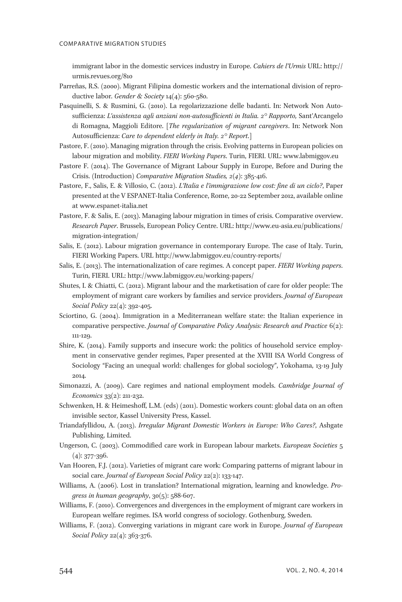immigrant labor in the domestic services industry in Europe. Cahiers de l'Urmis URL: http:// urmis.revues.org/810

- Parreñas, R.S. (2000). Migrant Filipina domestic workers and the international division of reproductive labor. Gender & Society 14(4): 560-580.
- Pasquinelli, S. & Rusmini, G. (2010). La regolarizzazione delle badanti. In: Network Non Autosufficienza: L'assistenza agli anziani non-autosufficienti in Italia. 2° Rapporto, Sant'Arcangelo di Romagna, Maggioli Editore. [The regularization of migrant caregivers. In: Network Non Autosufficienza: Care to dependent elderly in Italy. 2° Report.]
- Pastore, F. (2010). Managing migration through the crisis. Evolving patterns in European policies on labour migration and mobility. FIERI Working Papers. Turin, FIERI. URL: www.labmiggov.eu
- Pastore F. (2014). The Governance of Migrant Labour Supply in Europe, Before and During the Crisis. (Introduction) Comparative Migration Studies, 2(4): 385-416.
- Pastore, F., Salis, E. & Villosio, C. (2012). L'Italia e l'immigrazione low cost: fine di un ciclo?, Paper presented at the V ESPANET-Italia Conference, Rome, 20-22 September 2012, available online at www.espanet-italia.net
- Pastore, F. & Salis, E. (2013). Managing labour migration in times of crisis. Comparative overview. Research Paper. Brussels, European Policy Centre. URL: http://www.eu-asia.eu/publications/ migration-integration/
- Salis, E. (2012). Labour migration governance in contemporary Europe. The case of Italy. Turin, FIERI Working Papers. URL http://www.labmiggov.eu/country-reports/
- Salis, E. (2013). The internationalization of care regimes. A concept paper. FIERI Working papers. Turin, FIERI. URL: http://www.labmiggov.eu/working-papers/
- Shutes, I. & Chiatti, C. (2012). Migrant labour and the marketisation of care for older people: The employment of migrant care workers by families and service providers. Journal of European Social Policy 22(4): 392-405.
- Sciortino, G. (2004). Immigration in a Mediterranean welfare state: the Italian experience in comparative perspective. Journal of Comparative Policy Analysis: Research and Practice 6(2): 111-129.
- Shire, K. (2014). Family supports and insecure work: the politics of household service employment in conservative gender regimes, Paper presented at the XVIII ISA World Congress of Sociology "Facing an unequal world: challenges for global sociology", Yokohama, 13-19 July 2014.
- Simonazzi, A. (2009). Care regimes and national employment models. Cambridge Journal of Economics 33(2): 211-232.
- Schwenken, H. & Heimeshoff, L.M. (eds) (2011). Domestic workers count: global data on an often invisible sector, Kassel University Press, Kassel.
- Triandafyllidou, A. (2013). Irregular Migrant Domestic Workers in Europe: Who Cares?, Ashgate Publishing, Limited.
- Ungerson, C. (2003). Commodified care work in European labour markets. European Societies 5 (4): 377-396.
- Van Hooren, F.J. (2012). Varieties of migrant care work: Comparing patterns of migrant labour in social care. Journal of European Social Policy 22(2): 133-147.
- Williams, A. (2006). Lost in translation? International migration, learning and knowledge. Progress in human geography, 30(5): 588-607.
- Williams, F. (2010). Convergences and divergences in the employment of migrant care workers in European welfare regimes. ISA world congress of sociology. Gothenburg, Sweden.
- Williams, F. (2012). Converging variations in migrant care work in Europe. Journal of European Social Policy 22(4): 363-376.